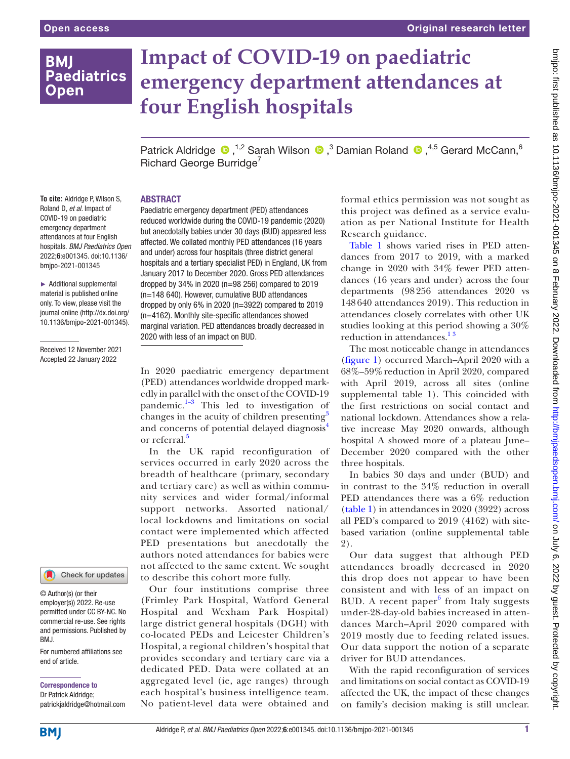## **BMI Paediatrics Open**

# **Impact of COVID-19 on paediatric emergency department attendances at four English hospitals**

PatrickAldridge  $\bigcirc$ ,<sup>1,2</sup> Sarah Wilson  $\bigcirc$ ,<sup>3</sup> Damian Roland  $\bigcirc$ ,<sup>4,5</sup> Gerard McCann,<sup>6</sup> Richard George Burridge<sup>7</sup>

#### ABSTRACT

Paediatric emergency department (PED) attendances reduced worldwide during the COVID-19 pandemic (2020) but anecdotally babies under 30 days (BUD) appeared less affected. We collated monthly PED attendances (16 years and under) across four hospitals (three district general hospitals and a tertiary specialist PED) in England, UK from January 2017 to December 2020. Gross PED attendances dropped by 34% in 2020 (n=98 256) compared to 2019 (n=148 640). However, cumulative BUD attendances dropped by only 6% in 2020 (n=3922) compared to 2019 (n=4162). Monthly site-specific attendances showed marginal variation. PED attendances broadly decreased in 2020 with less of an impact on BUD.

In 2020 paediatric emergency department (PED) attendances worldwide dropped markedly in parallel with the onset of the COVID-19 pandemic. $1-3$  This led to investigation of changes in the acuity of children presenting<sup>[3](#page-1-1)</sup> and concerns of potential delayed diagnosis<sup>4</sup> or referral.<sup>[5](#page-1-3)</sup>

In the UK rapid reconfiguration of services occurred in early 2020 across the breadth of healthcare (primary, secondary and tertiary care) as well as within community services and wider formal/informal support networks. Assorted national/ local lockdowns and limitations on social contact were implemented which affected PED presentations but anecdotally the authors noted attendances for babies were not affected to the same extent. We sought to describe this cohort more fully.

Our four institutions comprise three (Frimley Park Hospital, Watford General Hospital and Wexham Park Hospital) large district general hospitals (DGH) with co-located PEDs and Leicester Children's Hospital, a regional children's hospital that provides secondary and tertiary care via a dedicated PED. Data were collated at an aggregated level (ie, age ranges) through each hospital's business intelligence team. No patient-level data were obtained and formal ethics permission was not sought as this project was defined as a service evaluation as per National Institute for Health Research guidance.

[Table](#page-1-4) 1 shows varied rises in PED attendances from 2017 to 2019, with a marked change in 2020 with 34% fewer PED attendances (16 years and under) across the four departments (98256 attendances 2020 vs 148640 attendances 2019). This reduction in attendances closely correlates with other UK studies looking at this period showing a 30% reduction in attendances.<sup>13</sup>

The most noticeable change in attendances ([figure](#page-1-5) 1) occurred March–April 2020 with a 68%–59%reduction in April 2020, compared with April 2019, across all sites [\(online](https://dx.doi.org/10.1136/bmjpo-2021-001345) [supplemental table 1\)](https://dx.doi.org/10.1136/bmjpo-2021-001345). This coincided with the first restrictions on social contact and national lockdown. Attendances show a relative increase May 2020 onwards, although hospital A showed more of a plateau June– December 2020 compared with the other three hospitals.

In babies 30 days and under (BUD) and in contrast to the 34% reduction in overall PED attendances there was a 6% reduction ([table](#page-1-4) 1) in attendances in 2020 (3922) across all PED's compared to 2019 (4162) with sitebased variation [\(online supplemental table](https://dx.doi.org/10.1136/bmjpo-2021-001345) [2\)](https://dx.doi.org/10.1136/bmjpo-2021-001345).

Our data suggest that although PED attendances broadly decreased in 2020 this drop does not appear to have been consistent and with less of an impact on BUD. A recent paper $6$  from Italy suggests under-28-day-old babies increased in attendances March–April 2020 compared with 2019 mostly due to feeding related issues. Our data support the notion of a separate driver for BUD attendances.

With the rapid reconfiguration of services and limitations on social contact as COVID-19 affected the UK, the impact of these changes on family's decision making is still unclear.

**To cite:** Aldridge P, Wilson S, Roland D, *et al*. Impact of COVID-19 on paediatric emergency department attendances at four English hospitals. *BMJ Paediatrics Open* 2022;6:e001345. doi:10.1136/ bmjpo-2021-001345

► Additional supplemental material is published online only. To view, please visit the journal online ([http://dx.doi.org/](http://dx.doi.org/10.1136/bmjpo-2021-001345) [10.1136/bmjpo-2021-001345\)](http://dx.doi.org/10.1136/bmjpo-2021-001345).

Received 12 November 2021 Accepted 22 January 2022

Check for updates

© Author(s) (or their employer(s)) 2022. Re-use permitted under CC BY-NC. No commercial re-use. See rights and permissions. Published by BMJ.

For numbered affiliations see end of article.

Correspondence to Dr Patrick Aldridge; patrickjaldridge@hotmail.com bmipo: first published as 10.1136/bmipo-2021-001345 on 8 February 2022. Downloaded from http://bmipaedsopen.bmj.com/ on July 6, 2022 by guest. Protected by copyright on July 6, 2022 by guest. Protected by copyright. <http://bmjpaedsopen.bmj.com/> bmjpo: first published as 10.1136/bmjpo-2021-001345 on 8 February 2022. Downloaded from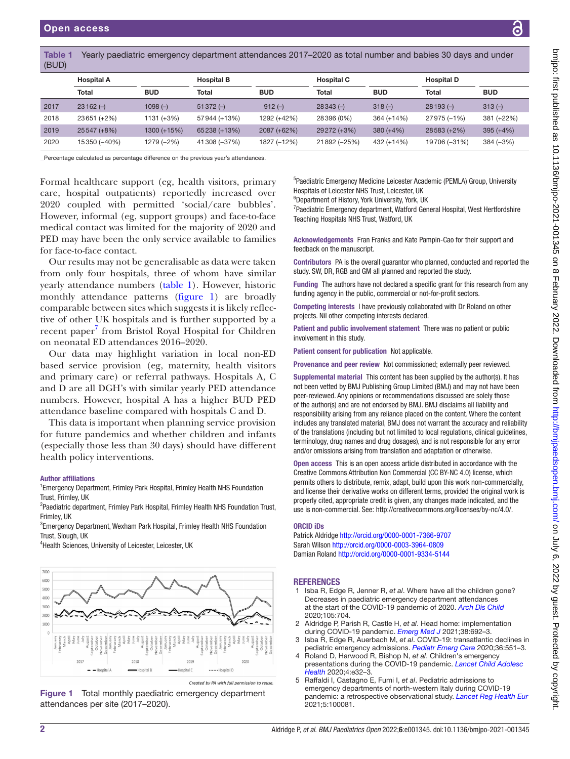<span id="page-1-4"></span>

|       | <b>Table 1</b> Yearly paediatric emergency department attendanc |
|-------|-----------------------------------------------------------------|
| (BUD) |                                                                 |

| <u>.</u> |                   |             |                   |             |                   |             |                   |             |  |  |  |
|----------|-------------------|-------------|-------------------|-------------|-------------------|-------------|-------------------|-------------|--|--|--|
|          | <b>Hospital A</b> |             | <b>Hospital B</b> |             | <b>Hospital C</b> |             | <b>Hospital D</b> |             |  |  |  |
|          | <b>Total</b>      | <b>BUD</b>  | <b>Total</b>      | <b>BUD</b>  | Total             | <b>BUD</b>  | <b>Total</b>      | <b>BUD</b>  |  |  |  |
| 2017     | $23162 (-)$       | $1098(-)$   | $51372(-)$        | $912(-)$    | $28343(-)$        | $318(-)$    | $28193(-)$        | $313(-)$    |  |  |  |
| 2018     | 23651 (+2%)       | 1131 (+3%)  | 57944 (+13%)      | 1292 (+42%) | 28396 (0%)        | 364 (+14%)  | 27975 (-1%)       | 381 (+22%)  |  |  |  |
| 2019     | 25547 (+8%)       | 1300 (+15%) | 65238 (+13%)      | 2087 (+62%) | 29272 (+3%)       | $380 (+4%)$ | 28583 (+2%)       | $395 (+4%)$ |  |  |  |
| 2020     | 15350 (-40%)      | 1279 (-2%)  | 41308 (-37%)      | 1827 (-12%) | 21892 (-25%)      | 432 (+14%)  | 19706 (-31%)      | $384 (-3%)$ |  |  |  |

Percentage calculated as percentage difference on the previous year's attendances.

Formal healthcare support (eg, health visitors, primary care, hospital outpatients) reportedly increased over 2020 coupled with permitted 'social/care bubbles'. However, informal (eg, support groups) and face-to-face medical contact was limited for the majority of 2020 and PED may have been the only service available to families for face-to-face contact.

Our results may not be generalisable as data were taken from only four hospitals, three of whom have similar yearly attendance numbers [\(table](#page-1-4) 1). However, historic monthly attendance patterns [\(figure](#page-1-5) 1) are broadly comparable between sites which suggests it is likely reflective of other UK hospitals and is further supported by a recent paper<sup>7</sup> from Bristol Royal Hospital for Children on neonatal ED attendances 2016–2020.

Our data may highlight variation in local non-ED based service provision (eg, maternity, health visitors and primary care) or referral pathways. Hospitals A, C and D are all DGH's with similar yearly PED attendance numbers. However, hospital A has a higher BUD PED attendance baseline compared with hospitals C and D.

This data is important when planning service provision for future pandemics and whether children and infants (especially those less than 30 days) should have different health policy interventions.

#### Author affiliations

<sup>1</sup> Emergency Department, Frimley Park Hospital, Frimley Health NHS Foundation Trust, Frimley, UK

<sup>2</sup>Paediatric department, Frimley Park Hospital, Frimley Health NHS Foundation Trust, Frimley, UK

<sup>3</sup> Emergency Department, Wexham Park Hospital, Frimley Health NHS Foundation Trust, Slough, UK

4 Health Sciences, University of Leicester, Leicester, UK



Created by PA with full p mission to reuse

<span id="page-1-5"></span>

<sup>5</sup>Paediatric Emergency Medicine Leicester Academic (PEMLA) Group, University Hospitals of Leicester NHS Trust, Leicester, UK

es 2017–2020 as total number and babies 30 days and under

6 Department of History, York University, York, UK

<sup>7</sup> Paediatric Emergency department, Watford General Hospital, West Hertfordshire Teaching Hospitals NHS Trust, Watford, UK

Acknowledgements Fran Franks and Kate Pampin-Cao for their support and feedback on the manuscript.

Contributors PA is the overall guarantor who planned, conducted and reported the study. SW, DR, RGB and GM all planned and reported the study.

Funding The authors have not declared a specific grant for this research from any funding agency in the public, commercial or not-for-profit sectors.

Competing interests I have previously collaborated with Dr Roland on other projects. Nil other competing interests declared.

Patient and public involvement statement There was no patient or public involvement in this study.

Patient consent for publication Not applicable.

Provenance and peer review Not commissioned; externally peer reviewed.

Supplemental material This content has been supplied by the author(s). It has not been vetted by BMJ Publishing Group Limited (BMJ) and may not have been peer-reviewed. Any opinions or recommendations discussed are solely those of the author(s) and are not endorsed by BMJ. BMJ disclaims all liability and responsibility arising from any reliance placed on the content. Where the content includes any translated material, BMJ does not warrant the accuracy and reliability of the translations (including but not limited to local regulations, clinical guidelines, terminology, drug names and drug dosages), and is not responsible for any error and/or omissions arising from translation and adaptation or otherwise.

Open access This is an open access article distributed in accordance with the Creative Commons Attribution Non Commercial (CC BY-NC 4.0) license, which permits others to distribute, remix, adapt, build upon this work non-commercially, and license their derivative works on different terms, provided the original work is properly cited, appropriate credit is given, any changes made indicated, and the use is non-commercial. See:<http://creativecommons.org/licenses/by-nc/4.0/>.

#### ORCID iDs

Patrick Aldridge<http://orcid.org/0000-0001-7366-9707> Sarah Wilson<http://orcid.org/0000-0003-3964-0809> Damian Roland <http://orcid.org/0000-0001-9334-5144>

#### **REFERENCES**

- <span id="page-1-0"></span>1 Isba R, Edge R, Jenner R, *et al*. Where have all the children gone? Decreases in paediatric emergency department attendances at the start of the COVID-19 pandemic of 2020. *[Arch Dis Child](http://dx.doi.org/10.1136/archdischild-2020-319385)* 2020;105:704.
- 2 Aldridge P, Parish R, Castle H, *et al*. Head home: implementation during COVID-19 pandemic. *[Emerg Med J](http://dx.doi.org/10.1136/emermed-2020-211007)* 2021;38:692–3.
- <span id="page-1-1"></span>3 Isba R, Edge R, Auerbach M, *et al*. COVID-19: transatlantic declines in pediatric emergency admissions. *[Pediatr Emerg Care](http://dx.doi.org/10.1097/PEC.0000000000002260)* 2020;36:551–3.
- <span id="page-1-2"></span>4 Roland D, Harwood R, Bishop N, *et al*. Children's emergency presentations during the COVID-19 pandemic. *[Lancet Child Adolesc](http://dx.doi.org/10.1016/S2352-4642(20)30206-6)  [Health](http://dx.doi.org/10.1016/S2352-4642(20)30206-6)* 2020;4:e32–3.
- <span id="page-1-3"></span>5 Raffaldi I, Castagno E, Fumi I, *et al*. Pediatric admissions to emergency departments of north-western Italy during COVID-19 pandemic: a retrospective observational study. *[Lancet Reg Health Eur](http://dx.doi.org/10.1016/j.lanepe.2021.100081)* 2021;5:100081.